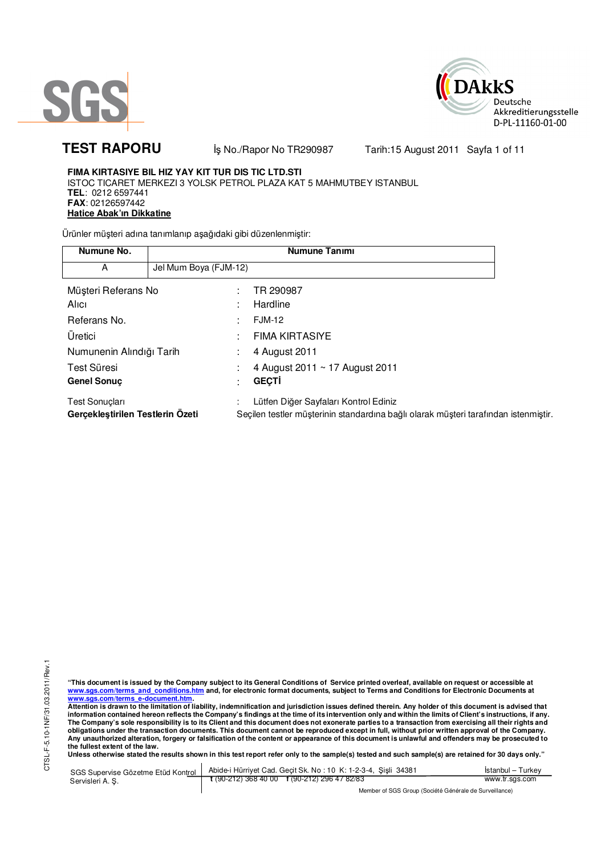



**TEST RAPORU** iş No./Rapor No TR290987 Tarih:15 August 2011 Sayfa 1 of 11

### **FIMA KIRTASIYE BIL HIZ YAY KIT TUR DIS TIC LTD.STI**  ISTOC TICARET MERKEZI 3 YOLSK PETROL PLAZA KAT 5 MAHMUTBEY ISTANBUL

**TEL**: 0212 6597441 **FAX**: 02126597442 **Hatice Abak'ın Dikkatine**

Ürünler müşteri adına tanımlanıp aşağıdaki gibi düzenlenmiştir:

| Numune No.                                         |                       | <b>Numune Tanımı</b>                                                                                                         |  |
|----------------------------------------------------|-----------------------|------------------------------------------------------------------------------------------------------------------------------|--|
| A                                                  | Jel Mum Boya (FJM-12) |                                                                                                                              |  |
| Müşteri Referans No                                |                       | TR 290987                                                                                                                    |  |
| Alici                                              |                       | Hardline                                                                                                                     |  |
| Referans No.                                       |                       | <b>FJM-12</b>                                                                                                                |  |
| Üretici                                            |                       | <b>FIMA KIRTASIYE</b>                                                                                                        |  |
| Numunenin Alındığı Tarih                           |                       | 4 August 2011                                                                                                                |  |
| Test Süresi                                        |                       | 4 August 2011 ~ 17 August 2011                                                                                               |  |
| <b>Genel Sonuc</b>                                 |                       | <b>GECTI</b>                                                                                                                 |  |
| Test Sonuçları<br>Gerçekleştirilen Testlerin Ozeti |                       | Lütfen Diğer Sayfaları Kontrol Ediniz<br>Seçilen testler müşterinin standardına bağlı olarak müşteri tarafından istenmiştir. |  |

"This document is issued by the Company subject to its General Conditions of Service printed overleaf, available on request or accessible at<br>www.sgs.com/terms\_and\_conditions.htm\_and, for electronic format documents, subjec <mark>www.sgs.com/terms\_e-document.htm.</mark><br>Attention is drawn to the limitation of liability, indemnification and jurisdiction issues defined therein. Any holder of this document is advised that

information contained hereon reflects the Company's findings at the time of its intervention only and within the limits of Client's instructions, if any.<br>The Company's sole responsibility is to its Client and this document **obligations under the transaction documents. This document cannot be reproduced except in full, without prior written approval of the Company. Any unauthorized alteration, forgery or falsification of the content or appearance of this document is unlawful and offenders may be prosecuted to the fullest extent of the law.** 

**Unless otherwise stated the results shown in this test report refer only to the sample(s) tested and such sample(s) are retained for 30 days only."** 

SGS Supervise Gözetme Etüd Kontrol Servisleri A. Ş. Abide-i Hürriyet Cad. Geçit Sk. No : 10 K: 1-2-3-4, Şişli 34381 **t** (90-212) 368 40 00 **f** (90-212) 296 47 82/83 İstanbul – Turkey www.tr.sgs.com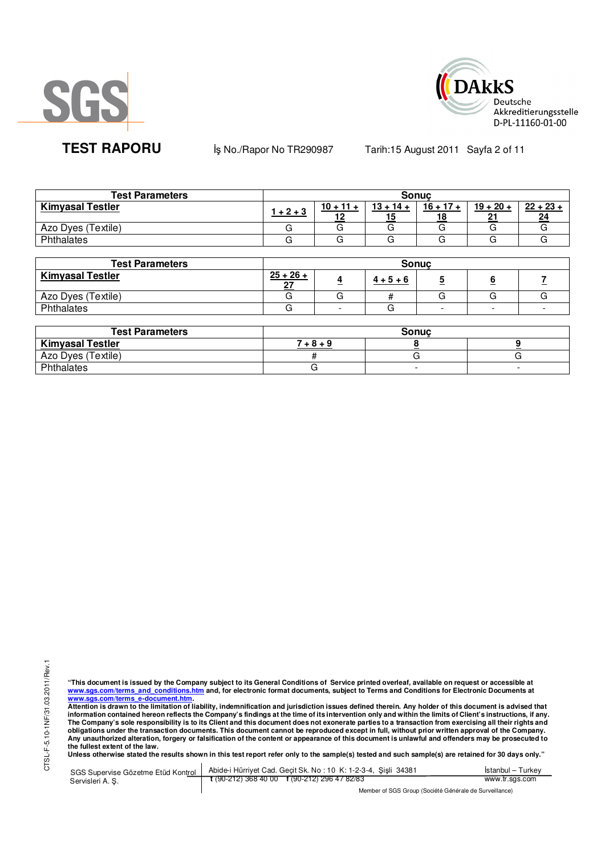



**TEST RAPORU** iş No./Rapor No TR290987 Tarih:15 August 2011 Sayfa 2 of 11

| <b>Test Parameters</b>  | <b>Sonuc</b> |                   |                   |             |                    |                   |  |
|-------------------------|--------------|-------------------|-------------------|-------------|--------------------|-------------------|--|
| <b>Kimyasal Testler</b> | l + 2 + 3    | $10 + 11 +$<br>10 | $13 + 14 +$<br>15 | $16 + 17 +$ | $19 + 20 +$<br>n., | $22 + 23 +$<br>24 |  |
| Azo Dyes (Textile)      |              |                   |                   |             |                    |                   |  |
| Phthalates              |              |                   |                   |             | ت                  |                   |  |

| <b>Test Parameters</b>  | <b>Sonuc</b>      |    |                   |   |   |  |  |
|-------------------------|-------------------|----|-------------------|---|---|--|--|
| <b>Kimyasal Testler</b> | $25 + 26 +$<br>רה | z. | $\frac{4+5+6}{6}$ |   | - |  |  |
| Azo Dyes (Textile)      |                   |    |                   |   |   |  |  |
| Phthalates              |                   | -  |                   | - |   |  |  |

| <b>Test Parameters</b>  | <b>Sonuc</b> |  |  |  |  |
|-------------------------|--------------|--|--|--|--|
| <b>Kimyasal Testler</b> | $+8 + 9$     |  |  |  |  |
| Azo Dyes (Textile)      |              |  |  |  |  |
| Phthalates              |              |  |  |  |  |

"This document is issued by the Company subject to its General Conditions of Service printed overleaf, available on request or accessible at<br>www.sgs.com/terms\_and\_conditions.htm\_and, for electronic format documents, subjec <mark>www.sgs.com/terms\_e-document.htm.</mark><br>Attention is drawn to the limitation of liability, indemnification and jurisdiction issues defined therein. Any holder of this document is advised that

information contained hereon reflects the Company's findings at the time of its intervention only and within the limits of Client's instructions, if any.<br>The Company's sole responsibility is to its Client and this document obligations under the transaction documents. This document cannot be reproduced except in full, without prior written approval of the Company.<br>Any unauthorized alteration, forgery or falsification of the content or appeara

SGS Supervise Gözetme Etüd Kontrol Servisleri A. Ş. Abide-i Hürriyet Cad. Geçit Sk. No : 10 K: 1-2-3-4, Şişli 34381 **t** (90-212) 368 40 00 **f** (90-212) 296 47 82/83 İstanbul – Turkey www.tr.sgs.com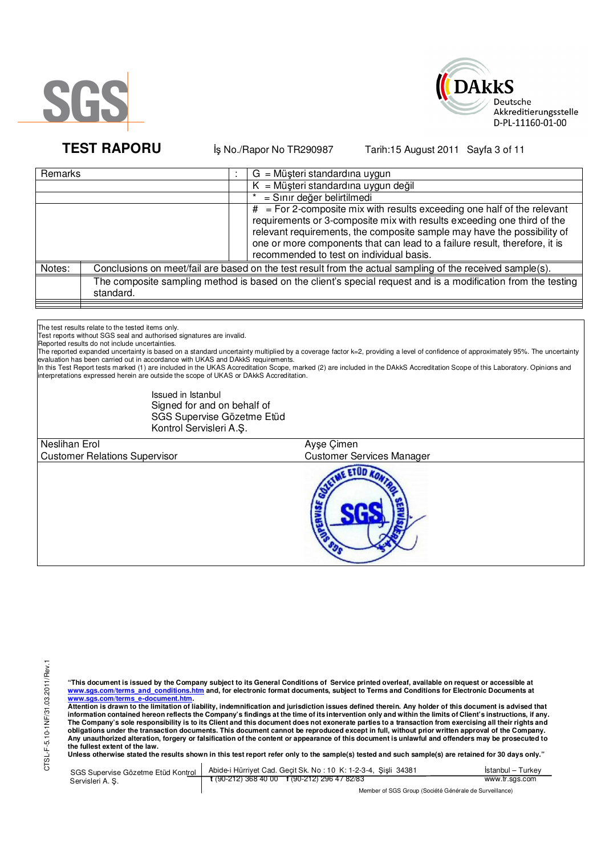



**TEST RAPORU** iş No./Rapor No TR290987 Tarih:15 August 2011 Sayfa 3 of 11

| Remarks |           | $G = M\ddot{\mu}$ şteri standardına uygun                                                                                                                                                                                                                                                                                                                            |
|---------|-----------|----------------------------------------------------------------------------------------------------------------------------------------------------------------------------------------------------------------------------------------------------------------------------------------------------------------------------------------------------------------------|
|         |           | $K = M\ddot{u}$ șteri standardına uygun değil                                                                                                                                                                                                                                                                                                                        |
|         |           | = Sınır değer belirtilmedi                                                                                                                                                                                                                                                                                                                                           |
|         |           | $\overline{t}$ = For 2-composite mix with results exceeding one half of the relevant<br>requirements or 3-composite mix with results exceeding one third of the<br>relevant requirements, the composite sample may have the possibility of<br>one or more components that can lead to a failure result, therefore, it is<br>recommended to test on individual basis. |
| Notes:  |           | Conclusions on meet/fail are based on the test result from the actual sampling of the received sample(s).                                                                                                                                                                                                                                                            |
|         | standard. | The composite sampling method is based on the client's special request and is a modification from the testing                                                                                                                                                                                                                                                        |
|         |           |                                                                                                                                                                                                                                                                                                                                                                      |

The test results relate to the tested items only.

Test reports without SGS seal and authorised signatures are invalid.

Reported results do not include uncertainties.

r ported expanded uncertainty is based on a standard uncertainty multiplied by a coverage factor k=2, providing a level of confidence of approximately 95%. The uncertainty is based on a standard uncertainty multiplied by evaluation has been carried out in accordance with UKAS and DAkkS requirements.

In this Test Report tests marked (1) are included in the UKAS Accreditation Scope, marked (2) are included in the DAkkS Accreditation Scope of this Laboratory. Opinions and interpretations expressed herein are outside the scope of UKAS or DAkkS Accreditation.

> Issued in Istanbul Signed for and on behalf of SGS Supervise Gözetme Etüd Kontrol Servisleri A.Ş.

 $\overline{a}$ Neslihan Erol Ayşe Çimen Customer Relations Supervisor Customer Services Manager **ETOD** 

**"This document is issued by the Company subject to its General Conditions of Service printed overleaf, available on request or accessible at www.sgs.com/terms\_and\_conditions.htm and, for electronic format documents, subject to Terms and Conditions for Electronic Documents at**  <mark>www.sgs.com/terms\_e-document.htm.</mark><br>Attention is drawn to the limitation of liability, indemnification and jurisdiction issues defined therein. Any holder of this document is advised that

information contained hereon reflects the Company's findings at the time of its intervention only and within the limits of Client's instructions, if any.<br>The Company's sole responsibility is to its Client and this document **obligations under the transaction documents. This document cannot be reproduced except in full, without prior written approval of the Company. Any unauthorized alteration, forgery or falsification of the content or appearance of this document is unlawful and offenders may be prosecuted to the fullest extent of the law.** 

Unless otherwise stated the results shown in this test report refer only to the sample(s) tested and such sample(s) are retained for 30 days only."

| SGS Supervise Gözetme Etüd Kontrol | Abide-i Hürriyet Cad. Gecit Sk. No: 10 K: 1-2-3-4, Sisli 34381 | Istanbul – Turkev |
|------------------------------------|----------------------------------------------------------------|-------------------|
| Servisleri A. S.                   | $\frac{1}{2}$ (90-212) 368 40 00 f (90-212) 296 47 82/83       | www.tr.sgs.com    |
|                                    | Member of SGS Group (Société Générale de Surveillance)         |                   |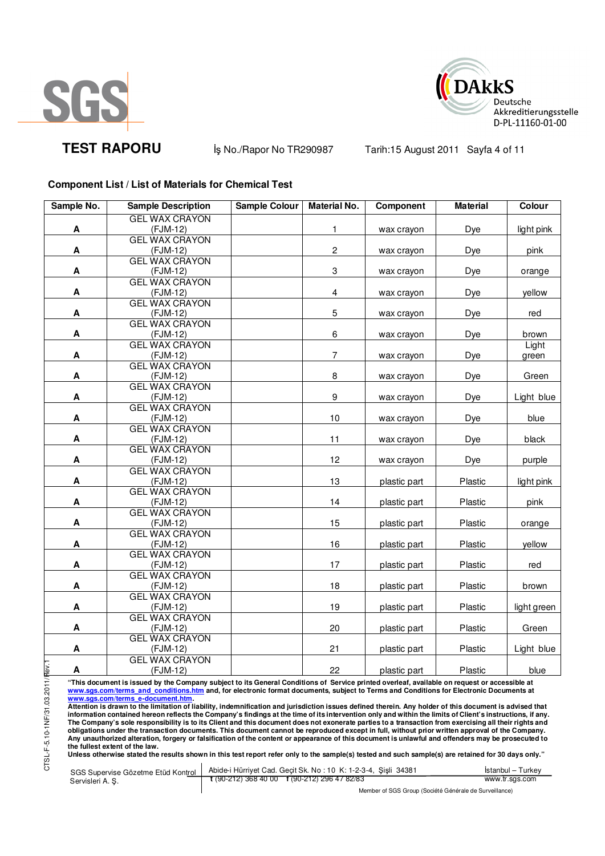



**TEST RAPORU** iş No./Rapor No TR290987 Tarih:15 August 2011 Sayfa 4 of 11

# **Component List / List of Materials for Chemical Test**

| Sample No.                | <b>Sample Description</b>         | <b>Sample Colour</b> | <b>Material No.</b>     | Component    | <b>Material</b> | Colour      |
|---------------------------|-----------------------------------|----------------------|-------------------------|--------------|-----------------|-------------|
|                           | <b>GEL WAX CRAYON</b>             |                      |                         |              |                 |             |
| A                         | (FJM-12)                          |                      | 1                       | wax crayon   | Dye             | light pink  |
|                           | <b>GEL WAX CRAYON</b>             |                      |                         |              |                 |             |
| A                         | (FJM-12)                          |                      | $\boldsymbol{2}$        | wax crayon   | Dye             | pink        |
|                           | <b>GEL WAX CRAYON</b>             |                      |                         |              |                 |             |
| A                         | $(FJM-12)$                        |                      | 3                       | wax crayon   | Dye             | orange      |
|                           | <b>GEL WAX CRAYON</b>             |                      |                         |              |                 |             |
| A                         | (FJM-12)                          |                      | $\overline{\mathbf{4}}$ | wax crayon   | Dye             | yellow      |
|                           | <b>GEL WAX CRAYON</b>             |                      |                         |              |                 |             |
| A                         | (FJM-12)                          |                      | 5                       | wax crayon   | Dye             | red         |
|                           | <b>GEL WAX CRAYON</b>             |                      |                         |              |                 |             |
| Α                         | (FJM-12)                          |                      | 6                       | wax crayon   | Dye             | brown       |
|                           | <b>GEL WAX CRAYON</b>             |                      |                         |              |                 | Light       |
| A                         | (FJM-12)                          |                      | $\overline{7}$          | wax crayon   | Dye             | green       |
|                           | <b>GEL WAX CRAYON</b>             |                      |                         |              |                 |             |
| A                         | (FJM-12)                          |                      | 8                       | wax crayon   | Dye             | Green       |
|                           | <b>GEL WAX CRAYON</b>             |                      |                         |              |                 |             |
| Α                         | (FJM-12)                          |                      | 9                       | wax crayon   | Dye             | Light blue  |
|                           | <b>GEL WAX CRAYON</b>             |                      |                         |              |                 |             |
| A                         | (FJM-12)                          |                      | $10$                    | wax crayon   | Dye             | blue        |
|                           | <b>GEL WAX CRAYON</b>             |                      |                         |              |                 |             |
| A                         | $(FJM-12)$                        |                      | 11                      | wax crayon   | Dye             | black       |
|                           | <b>GEL WAX CRAYON</b>             |                      |                         |              |                 |             |
| A                         | (FJM-12)                          |                      | 12                      | wax crayon   | Dye             | purple      |
|                           | <b>GEL WAX CRAYON</b>             |                      |                         |              |                 |             |
| A                         | (FJM-12)<br><b>GEL WAX CRAYON</b> |                      | 13                      | plastic part | Plastic         | light pink  |
| A                         | (FJM-12)                          |                      | 14                      | plastic part | Plastic         | pink        |
|                           | <b>GEL WAX CRAYON</b>             |                      |                         |              |                 |             |
| A                         | (FJM-12)                          |                      | 15                      | plastic part | Plastic         | orange      |
|                           | <b>GEL WAX CRAYON</b>             |                      |                         |              |                 |             |
| A                         | $(FJM-12)$                        |                      | 16                      | plastic part | Plastic         | yellow      |
|                           | <b>GEL WAX CRAYON</b>             |                      |                         |              |                 |             |
| Α                         | $(FJM-12)$                        |                      | 17                      | plastic part | Plastic         | red         |
|                           | <b>GEL WAX CRAYON</b>             |                      |                         |              |                 |             |
| A                         | (FJM-12)                          |                      | 18                      | plastic part | Plastic         | brown       |
|                           | <b>GEL WAX CRAYON</b>             |                      |                         |              |                 |             |
| A                         | (FJM-12)                          |                      | 19                      | plastic part | Plastic         | light green |
|                           | <b>GEL WAX CRAYON</b>             |                      |                         |              |                 |             |
| A                         | $(FJM-12)$                        |                      | 20                      | plastic part | Plastic         | Green       |
|                           | <b>GEL WAX CRAYON</b>             |                      |                         |              |                 |             |
| $\boldsymbol{\mathsf{A}}$ | (FJM-12)                          |                      | 21                      | plastic part | Plastic         | Light blue  |
|                           | <b>GEL WAX CRAYON</b>             |                      |                         |              |                 |             |
| l∴∧e<br>A                 | (FJM-12)                          |                      | 22                      | plastic part | Plastic         | blue        |

"This document is issued by the Company subject to its General Conditions of Service printed overleaf, available on request or accessible at<br>www.sgs.com/terms\_and\_conditions.htm\_and, for electronic format documents, subjec <mark>www.sgs.com/terms\_e-document.htm.</mark><br>Attention is drawn to the limitation of liability, indemnification and jurisdiction issues defined therein. Any holder of this document is advised that

information contained hereon reflects the Company's findings at the time of its intervention only and within the limits of Client's instructions, if any.<br>The Company's sole responsibility is to its Client and this document **obligations under the transaction documents. This document cannot be reproduced except in full, without prior written approval of the Company. Any unauthorized alteration, forgery or falsification of the content or appearance of this document is unlawful and offenders may be prosecuted to the fullest extent of the law.** 

**Unless otherwise stated the results shown in this test report refer only to the sample(s) tested and such sample(s) are retained for 30 days only."** 

SGS Supervise Gözetme Etüd Kontrol Servisleri A. Ş. Abide-i Hürriyet Cad. Geçit Sk. No : 10 K: 1-2-3-4, Şişli 34381 **t** (90-212) 368 40 00 **f** (90-212) 296 47 82/83

Member of SGS Group (Société Générale de Surveillance)

İstanbul – Turkey www.tr.sgs.com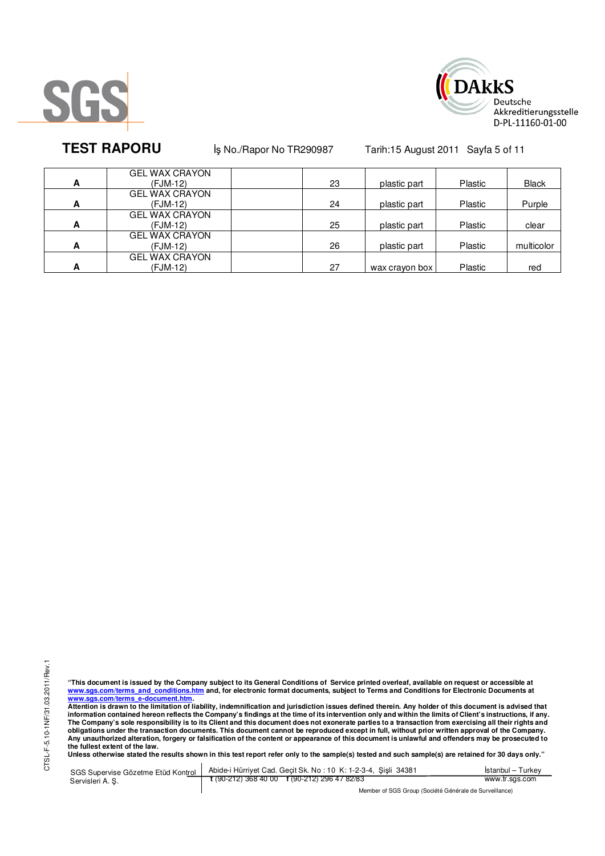



**TEST RAPORU** iş No./Rapor No TR290987 Tarih:15 August 2011 Sayfa 5 of 11

|   | <b>GEL WAX CRAYON</b> |    |                |         |              |
|---|-----------------------|----|----------------|---------|--------------|
| A | (FJM-12)              | 23 | plastic part   | Plastic | <b>Black</b> |
|   | <b>GEL WAX CRAYON</b> |    |                |         |              |
| A | (FJM-12)              | 24 | plastic part   | Plastic | Purple       |
|   | <b>GEL WAX CRAYON</b> |    |                |         |              |
| A | (FJM-12)              | 25 | plastic part   | Plastic | clear        |
|   | <b>GEL WAX CRAYON</b> |    |                |         |              |
| A | (FJM-12)              | 26 | plastic part   | Plastic | multicolor   |
|   | <b>GEL WAX CRAYON</b> |    |                |         |              |
| А | (FJM-12)              | 27 | wax crayon box | Plastic | red          |

"This document is issued by the Company subject to its General Conditions of Service printed overleaf, available on request or accessible at<br>www.sgs.com/terms\_and\_conditions.htm\_and, for electronic format documents, subjec <mark>www.sgs.com/terms\_e-document.htm.</mark><br>Attention is drawn to the limitation of liability, indemnification and jurisdiction issues defined therein. Any holder of this document is advised that

information contained hereon reflects the Company's findings at the time of its intervention only and within the limits of Client's instructions, if any.<br>The Company's sole responsibility is to its Client and this document obligations under the transaction documents. This document cannot be reproduced except in full, without prior written approval of the Company.<br>Any unauthorized alteration, forgery or falsification of the content or appeara

SGS Supervise Gözetme Etüd Kontrol Servisleri A. Ş. Abide-i Hürriyet Cad. Geçit Sk. No : 10 K: 1-2-3-4, Şişli 34381 **t** (90-212) 368 40 00 **f** (90-212) 296 47 82/83 İstanbul – Turkey www.tr.sgs.com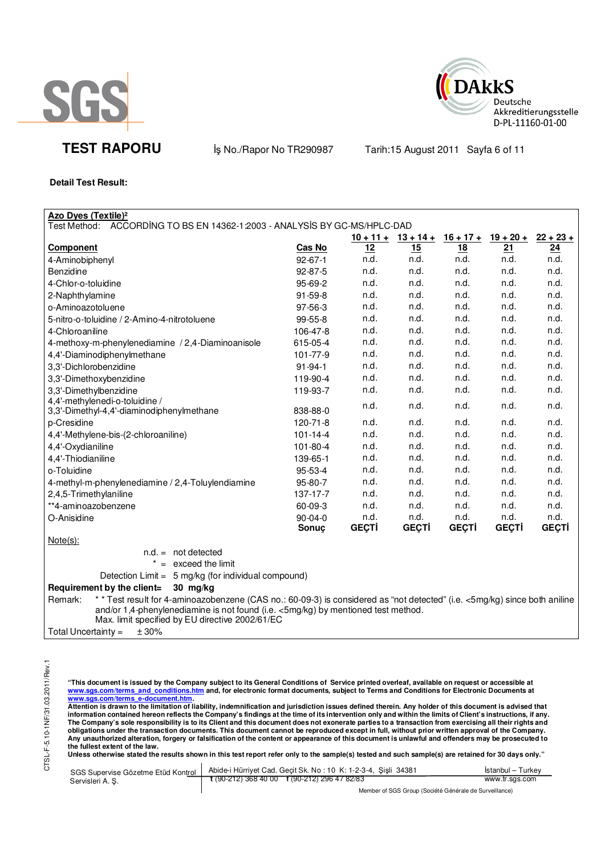



**TEST RAPORU** iş No./Rapor No TR290987 Tarih:15 August 2011 Sayfa 6 of 11

**Detail Test Result:** 

| Azo Dyes (Textile) <sup>2</sup>                                                                                                       |                |              |                       |              |              |              |
|---------------------------------------------------------------------------------------------------------------------------------------|----------------|--------------|-----------------------|--------------|--------------|--------------|
| Test Method:  ACCORDING TO BS EN 14362-1:2003 - ANALYSIS BY GC-MS/HPLC-DAD                                                            |                |              | $10 + 11 + 13 + 14 +$ | $16 + 17 +$  | $19 + 20 +$  | $22 + 23 +$  |
| Component                                                                                                                             | <b>Cas No</b>  | 12           | 15                    | <u>18</u>    | 21           | 24           |
| 4-Aminobiphenyl                                                                                                                       | $92 - 67 - 1$  | n.d.         | n.d.                  | n.d.         | n.d.         | n.d.         |
| Benzidine                                                                                                                             | 92-87-5        | n.d.         | n.d.                  | n.d.         | n.d.         | n.d.         |
| 4-Chlor-o-toluidine                                                                                                                   | 95-69-2        | n.d.         | n.d.                  | n.d.         | n.d.         | n.d.         |
| 2-Naphthylamine                                                                                                                       | 91-59-8        | n.d.         | n.d.                  | n.d.         | n.d.         | n.d.         |
| o-Aminoazotoluene                                                                                                                     | 97-56-3        | n.d.         | n.d.                  | n.d.         | n.d.         | n.d.         |
| 5-nitro-o-toluidine / 2-Amino-4-nitrotoluene                                                                                          | 99-55-8        | n.d.         | n.d.                  | n.d.         | n.d.         | n.d.         |
| 4-Chloroaniline                                                                                                                       | 106-47-8       | n.d.         | n.d.                  | n.d.         | n.d.         | n.d.         |
| 4-methoxy-m-phenylenediamine / 2,4-Diaminoanisole                                                                                     | 615-05-4       | n.d.         | n.d.                  | n.d.         | n.d.         | n.d.         |
| 4,4'-Diaminodiphenylmethane                                                                                                           | 101-77-9       | n.d.         | n.d.                  | n.d.         | n.d.         | n.d.         |
| 3,3'-Dichlorobenzidine                                                                                                                | $91 - 94 - 1$  | n.d.         | n.d.                  | n.d.         | n.d.         | n.d.         |
| 3,3'-Dimethoxybenzidine                                                                                                               | 119-90-4       | n.d.         | n.d.                  | n.d.         | n.d.         | n.d.         |
| 3,3'-Dimethylbenzidine                                                                                                                | 119-93-7       | n.d.         | n.d.                  | n.d.         | n.d.         | n.d.         |
| 4,4'-methylenedi-o-toluidine /                                                                                                        | 838-88-0       | n.d.         | n.d.                  | n.d.         | n.d.         | n.d.         |
| 3,3'-Dimethyl-4,4'-diaminodiphenylmethane<br>p-Cresidine                                                                              | 120-71-8       | n.d.         | n.d.                  | n.d.         | n.d.         | n.d.         |
| 4,4'-Methylene-bis-(2-chloroaniline)                                                                                                  | $101 - 14 - 4$ | n.d.         | n.d.                  | n.d.         | n.d.         | n.d.         |
| 4,4'-Oxydianiline                                                                                                                     | 101-80-4       | n.d.         | n.d.                  | n.d.         | n.d.         | n.d.         |
| 4,4'-Thiodianiline                                                                                                                    | 139-65-1       | n.d.         | n.d.                  | n.d.         | n.d.         | n.d.         |
| o-Toluidine                                                                                                                           | 95-53-4        | n.d.         | n.d.                  | n.d.         | n.d.         | n.d.         |
| 4-methyl-m-phenylenediamine / 2,4-Toluylendiamine                                                                                     | 95-80-7        | n.d.         | n.d.                  | n.d.         | n.d.         | n.d.         |
| 2,4,5-Trimethylaniline                                                                                                                | 137-17-7       | n.d.         | n.d.                  | n.d.         | n.d.         | n.d.         |
| **4-aminoazobenzene                                                                                                                   | 60-09-3        | n.d.         | n.d.                  | n.d.         | n.d.         | n.d.         |
| O-Anisidine                                                                                                                           | 90-04-0        | n.d.         | n.d.                  | n.d.         | n.d.         | n.d.         |
|                                                                                                                                       | Sonuç          | <b>GEÇTİ</b> | <b>GEÇTİ</b>          | <b>GEÇTİ</b> | <b>GEÇTİ</b> | <b>GEÇTİ</b> |
| $Note(s)$ :                                                                                                                           |                |              |                       |              |              |              |
| $n.d. = not detected$                                                                                                                 |                |              |                       |              |              |              |
| $=$ exceed the limit                                                                                                                  |                |              |                       |              |              |              |
| Detection Limit = 5 mg/kg (for individual compound)                                                                                   |                |              |                       |              |              |              |
| Requirement by the client=<br>$30$ mg/kg                                                                                              |                |              |                       |              |              |              |
| * * Test result for 4-aminoazobenzene (CAS no.: 60-09-3) is considered as "not detected" (i.e. <5mg/kg) since both aniline<br>Remark: |                |              |                       |              |              |              |
| and/or 1,4-phenylenediamine is not found (i.e. <5mg/kg) by mentioned test method.                                                     |                |              |                       |              |              |              |

Max. limit specified by EU directive 2002/61/EC

Total Uncertainty =  $\pm 30\%$ 

"This document is issued by the Company subject to its General Conditions of Service printed overleaf, available on request or accessible at<br>www.sgs.com/terms\_and\_conditions.htm\_and, for electronic format documents, subjec

<mark>www.sgs.com/terms\_e-document.htm.</mark><br>Attention is drawn to the limitation of liability, indemnification and jurisdiction issues defined therein. Any holder of this document is advised that information contained hereon reflects the Company's findings at the time of its intervention only and within the limits of Client's instructions, if any.<br>The Company's sole responsibility is to its Client and this document **obligations under the transaction documents. This document cannot be reproduced except in full, without prior written approval of the Company. Any unauthorized alteration, forgery or falsification of the content or appearance of this document is unlawful and offenders may be prosecuted to the fullest extent of the law.** 

Unless otherwise stated the results shown in this test report refer only to the sample(s) tested and such sample(s) are retained for 30 days only."

| SGS Supervise Gözetme Etüd Kontrol | Abide-i Hürrivet Cad. Gecit Sk. No: 10 K: 1-2-3-4, Sisli 34381 | Istanbul – Turkey |
|------------------------------------|----------------------------------------------------------------|-------------------|
| Servisleri A.S.                    | t (90-212) 368 40 00 f (90-212) 296 47 82/83                   | www.tr.sgs.com    |
|                                    | Mombor of CCC Crown (Coolete Cánárolo do Curvoillongo)         |                   |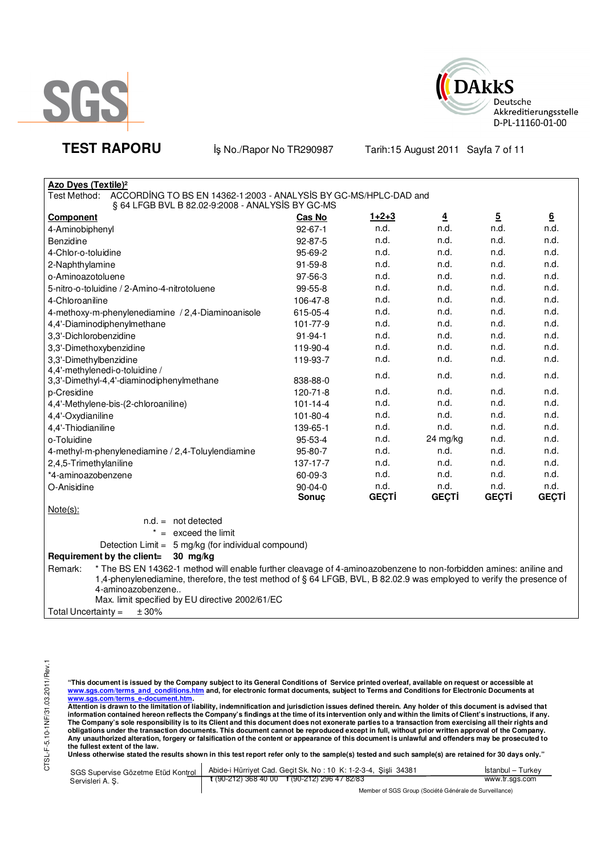



TEST RAPORU **By No./Rapor No TR290987** Tarih:15 August 2011 Sayfa 7 of 11

| <b>Azo Dyes (Textile)<sup>2</sup></b>                                            |                |              |                |                |                 |
|----------------------------------------------------------------------------------|----------------|--------------|----------------|----------------|-----------------|
| ACCORDING TO BS EN 14362-1:2003 - ANALYSIS BY GC-MS/HPLC-DAD and<br>Test Method: |                |              |                |                |                 |
| § 64 LFGB BVL B 82.02-9:2008 - ANALYSIS BY GC-MS                                 |                |              |                |                |                 |
| Component                                                                        | Cas No         | $1+2+3$      | $\overline{4}$ | $\overline{5}$ | $6\overline{6}$ |
| 4-Aminobiphenyl                                                                  | $92 - 67 - 1$  | n.d.         | n.d.           | n.d.           | n.d.            |
| Benzidine                                                                        | 92-87-5        | n.d.         | n.d.           | n.d.           | n.d.            |
| 4-Chlor-o-toluidine                                                              | 95-69-2        | n.d.         | n.d.           | n.d.           | n.d.            |
| 2-Naphthylamine                                                                  | $91 - 59 - 8$  | n.d.         | n.d.           | n.d.           | n.d.            |
| o-Aminoazotoluene                                                                | 97-56-3        | n.d.         | n.d.           | n.d.           | n.d.            |
| 5-nitro-o-toluidine / 2-Amino-4-nitrotoluene                                     | 99-55-8        | n.d.         | n.d.           | n.d.           | n.d.            |
| 4-Chloroaniline                                                                  | 106-47-8       | n.d.         | n.d.           | n.d.           | n.d.            |
| 4-methoxy-m-phenylenediamine / 2,4-Diaminoanisole                                | 615-05-4       | n.d.         | n.d.           | n.d.           | n.d.            |
| 4,4'-Diaminodiphenylmethane                                                      | 101-77-9       | n.d.         | n.d.           | n.d.           | n.d.            |
| 3,3'-Dichlorobenzidine                                                           | $91 - 94 - 1$  | n.d.         | n.d.           | n.d.           | n.d.            |
| 3,3'-Dimethoxybenzidine                                                          | 119-90-4       | n.d.         | n.d.           | n.d.           | n.d.            |
| 3,3'-Dimethylbenzidine                                                           | 119-93-7       | n.d.         | n.d.           | n.d.           | n.d.            |
| 4,4'-methylenedi-o-toluidine /                                                   |                | n.d.         | n.d.           | n.d.           | n.d.            |
| 3,3'-Dimethyl-4,4'-diaminodiphenylmethane                                        | 838-88-0       |              |                |                |                 |
| p-Cresidine                                                                      | 120-71-8       | n.d.         | n.d.           | n.d.           | n.d.            |
| 4,4'-Methylene-bis-(2-chloroaniline)                                             | $101 - 14 - 4$ | n.d.         | n.d.           | n.d.           | n.d.            |
| 4,4'-Oxydianiline                                                                | $101 - 80 - 4$ | n.d.         | n.d.           | n.d.           | n.d.            |
| 4,4'-Thiodianiline                                                               | 139-65-1       | n.d.         | n.d.           | n.d.           | n.d.            |
| o-Toluidine                                                                      | 95-53-4        | n.d.         | 24 mg/kg       | n.d.           | n.d.            |
| 4-methyl-m-phenylenediamine / 2,4-Toluylendiamine                                | 95-80-7        | n.d.         | n.d.           | n.d.           | n.d.            |
| 2,4,5-Trimethylaniline                                                           | 137-17-7       | n.d.         | n.d.           | n.d.           | n.d.            |
| *4-aminoazobenzene                                                               | 60-09-3        | n.d.         | n.d.           | n.d.           | n.d.            |
| O-Anisidine                                                                      | $90 - 04 - 0$  | n.d.         | n.d.           | n.d.           | n.d.            |
|                                                                                  | Sonuc          | <b>GEÇTİ</b> | <b>GEÇTİ</b>   | <b>GEÇTİ</b>   | GEÇTİ           |
| $Note(s)$ :                                                                      |                |              |                |                |                 |

n.d. = not detected

 $* =$  exceed the limit

Detection Limit = 5 mg/kg (for individual compound)

## **Requirement by the client= 30 mg/kg**

Remark: \* The BS EN 14362-1 method will enable further cleavage of 4-aminoazobenzene to non-forbidden amines: aniline and 1,4-phenylenediamine, therefore, the test method of § 64 LFGB, BVL, B 82.02.9 was employed to verify the presence of 4-aminoazobenzene.. Max. limit specified by EU directive 2002/61/EC

Total Uncertainty =  $\pm 30\%$ 

"This document is issued by the Company subject to its General Conditions of Service printed overleaf, available on request or accessible at<br>www.sgs.com/terms\_and\_conditions.htm\_and, for electronic format documents, subjec

<mark>www.sgs.com/terms\_e-document.htm.</mark><br>Attention is drawn to the limitation of liability, indemnification and jurisdiction issues defined therein. Any holder of this document is advised that information contained hereon reflects the Company's findings at the time of its intervention only and within the limits of Client's instructions, if any.<br>The Company's sole responsibility is to its Client and this document **obligations under the transaction documents. This document cannot be reproduced except in full, without prior written approval of the Company. Any unauthorized alteration, forgery or falsification of the content or appearance of this document is unlawful and offenders may be prosecuted to the fullest extent of the law.** 

Unless otherwise stated the results shown in this test report refer only to the sample(s) tested and such sample(s) are retained for 30 days only."

|                 | SGS Supervise Gözetme Etüd Kontrol   Abide-i Hürriyet Cad. Geçit Sk. No: 10 K: 1-2-3-4, Sişli 34381 | İstanbul – Turkey |
|-----------------|-----------------------------------------------------------------------------------------------------|-------------------|
| Servisleri A.S. | t (90-212) 368 40 00 f (90-212) 296 47 82/83                                                        | www.tr.sas.com    |
|                 |                                                                                                     |                   |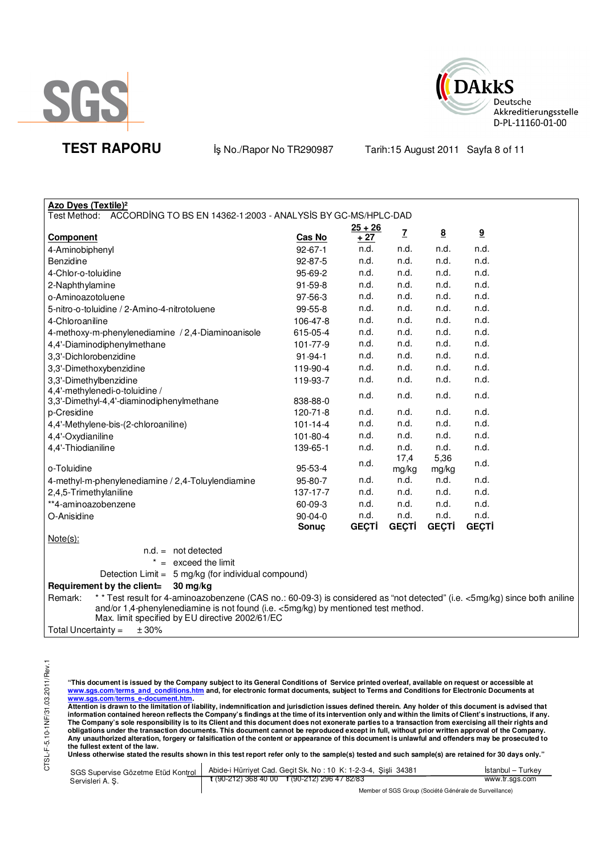



**TEST RAPORU** iş No./Rapor No TR290987 Tarih:15 August 2011 Sayfa 8 of 11

| $25 + 26$<br>$\overline{I}$<br>$\underline{9}$<br>$\underline{8}$<br>Cas No<br>+ 27<br><b>Component</b><br>n.d.<br>n.d.<br>n.d.<br>n.d.<br>$92 - 67 - 1$<br>4-Aminobiphenyl<br>n.d.<br>n.d.<br>n.d.<br>n.d.<br>92-87-5<br>Benzidine<br>n.d.<br>n.d.<br>n.d.<br>n.d.<br>4-Chlor-o-toluidine<br>95-69-2<br>n.d.<br>91-59-8<br>n.d.<br>n.d.<br>n.d.<br>2-Naphthylamine<br>n.d.<br>n.d.<br>97-56-3<br>n.d.<br>n.d.<br>o-Aminoazotoluene<br>n.d.<br>n.d.<br>n.d.<br>n.d.<br>5-nitro-o-toluidine / 2-Amino-4-nitrotoluene<br>99-55-8<br>n.d.<br>n.d.<br>n.d.<br>n.d.<br>106-47-8<br>4-Chloroaniline<br>n.d.<br>n.d.<br>n.d.<br>n.d.<br>4-methoxy-m-phenylenediamine / 2,4-Diaminoanisole<br>615-05-4<br>n.d.<br>n.d.<br>n.d.<br>n.d.<br>101-77-9<br>4,4'-Diaminodiphenylmethane<br>n.d.<br>n.d.<br>91-94-1<br>n.d.<br>n.d.<br>n.d.<br>n.d.<br>n.d.<br>n.d.<br>3,3'-Dimethoxybenzidine<br>119-90-4<br>n.d.<br>n.d.<br>3,3'-Dimethylbenzidine<br>119-93-7<br>n.d.<br>n.d.<br>n.d.<br>n.d.<br>n.d.<br>n.d.<br>3,3'-Dimethyl-4,4'-diaminodiphenylmethane<br>838-88-0<br>n.d.<br>n.d.<br>120-71-8<br>n.d.<br>n.d.<br>n.d.<br>n.d.<br>n.d.<br>n.d.<br>$101 - 14 - 4$<br>n.d.<br>n.d.<br>n.d.<br>n.d.<br>101-80-4<br>4,4'-Oxydianiline<br>n.d.<br>n.d.<br>n.d.<br>4,4'-Thiodianiline<br>139-65-1<br>n.d.<br>5,36<br>17,4<br>n.d.<br>n.d.<br>o-Toluidine<br>95-53-4<br>mg/kg<br>mg/kg<br>n.d.<br>n.d.<br>95-80-7<br>n.d.<br>4-methyl-m-phenylenediamine / 2,4-Toluylendiamine<br>n.d.<br>n.d.<br>137-17-7<br>n.d.<br>n.d.<br>n.d.<br>2,4,5-Trimethylaniline<br>n.d.<br>**4-aminoazobenzene<br>60-09-3<br>n.d.<br>n.d.<br>n.d.<br>n.d.<br>n.d.<br>n.d.<br>n.d.<br>$90 - 04 - 0$<br>O-Anisidine<br><b>GEÇTİ</b><br><b>GEÇTİ</b><br><b>GEÇTİ</b><br><b>GEÇTİ</b><br>Sonuç<br>$Note(s)$ :<br>$n.d. = not detected$<br>$* =$ exceed the limit<br>Detection Limit = 5 mg/kg (for individual compound)<br>Requirement by the client=<br>$30$ mg/kg<br>* * Test result for 4-aminoazobenzene (CAS no.: 60-09-3) is considered as "not detected" (i.e. <5mg/kg) since both aniline<br>Remark:<br>and/or 1,4-phenylenediamine is not found (i.e. <5mg/kg) by mentioned test method.<br>Max. limit specified by EU directive 2002/61/EC | <b>Azo Dyes (Textile)<sup>2</sup></b>                                     |  |  |  |  |  |  |
|----------------------------------------------------------------------------------------------------------------------------------------------------------------------------------------------------------------------------------------------------------------------------------------------------------------------------------------------------------------------------------------------------------------------------------------------------------------------------------------------------------------------------------------------------------------------------------------------------------------------------------------------------------------------------------------------------------------------------------------------------------------------------------------------------------------------------------------------------------------------------------------------------------------------------------------------------------------------------------------------------------------------------------------------------------------------------------------------------------------------------------------------------------------------------------------------------------------------------------------------------------------------------------------------------------------------------------------------------------------------------------------------------------------------------------------------------------------------------------------------------------------------------------------------------------------------------------------------------------------------------------------------------------------------------------------------------------------------------------------------------------------------------------------------------------------------------------------------------------------------------------------------------------------------------------------------------------------------------------------------------------------------------------------------------------------------------------------------------------------------------------------------------------------------------------------------------------------|---------------------------------------------------------------------------|--|--|--|--|--|--|
|                                                                                                                                                                                                                                                                                                                                                                                                                                                                                                                                                                                                                                                                                                                                                                                                                                                                                                                                                                                                                                                                                                                                                                                                                                                                                                                                                                                                                                                                                                                                                                                                                                                                                                                                                                                                                                                                                                                                                                                                                                                                                                                                                                                                                | Test Method: ACCORDING TO BS EN 14362-1:2003 - ANALYSIS BY GC-MS/HPLC-DAD |  |  |  |  |  |  |
|                                                                                                                                                                                                                                                                                                                                                                                                                                                                                                                                                                                                                                                                                                                                                                                                                                                                                                                                                                                                                                                                                                                                                                                                                                                                                                                                                                                                                                                                                                                                                                                                                                                                                                                                                                                                                                                                                                                                                                                                                                                                                                                                                                                                                |                                                                           |  |  |  |  |  |  |
|                                                                                                                                                                                                                                                                                                                                                                                                                                                                                                                                                                                                                                                                                                                                                                                                                                                                                                                                                                                                                                                                                                                                                                                                                                                                                                                                                                                                                                                                                                                                                                                                                                                                                                                                                                                                                                                                                                                                                                                                                                                                                                                                                                                                                |                                                                           |  |  |  |  |  |  |
|                                                                                                                                                                                                                                                                                                                                                                                                                                                                                                                                                                                                                                                                                                                                                                                                                                                                                                                                                                                                                                                                                                                                                                                                                                                                                                                                                                                                                                                                                                                                                                                                                                                                                                                                                                                                                                                                                                                                                                                                                                                                                                                                                                                                                |                                                                           |  |  |  |  |  |  |
|                                                                                                                                                                                                                                                                                                                                                                                                                                                                                                                                                                                                                                                                                                                                                                                                                                                                                                                                                                                                                                                                                                                                                                                                                                                                                                                                                                                                                                                                                                                                                                                                                                                                                                                                                                                                                                                                                                                                                                                                                                                                                                                                                                                                                |                                                                           |  |  |  |  |  |  |
|                                                                                                                                                                                                                                                                                                                                                                                                                                                                                                                                                                                                                                                                                                                                                                                                                                                                                                                                                                                                                                                                                                                                                                                                                                                                                                                                                                                                                                                                                                                                                                                                                                                                                                                                                                                                                                                                                                                                                                                                                                                                                                                                                                                                                |                                                                           |  |  |  |  |  |  |
|                                                                                                                                                                                                                                                                                                                                                                                                                                                                                                                                                                                                                                                                                                                                                                                                                                                                                                                                                                                                                                                                                                                                                                                                                                                                                                                                                                                                                                                                                                                                                                                                                                                                                                                                                                                                                                                                                                                                                                                                                                                                                                                                                                                                                |                                                                           |  |  |  |  |  |  |
|                                                                                                                                                                                                                                                                                                                                                                                                                                                                                                                                                                                                                                                                                                                                                                                                                                                                                                                                                                                                                                                                                                                                                                                                                                                                                                                                                                                                                                                                                                                                                                                                                                                                                                                                                                                                                                                                                                                                                                                                                                                                                                                                                                                                                |                                                                           |  |  |  |  |  |  |
|                                                                                                                                                                                                                                                                                                                                                                                                                                                                                                                                                                                                                                                                                                                                                                                                                                                                                                                                                                                                                                                                                                                                                                                                                                                                                                                                                                                                                                                                                                                                                                                                                                                                                                                                                                                                                                                                                                                                                                                                                                                                                                                                                                                                                |                                                                           |  |  |  |  |  |  |
|                                                                                                                                                                                                                                                                                                                                                                                                                                                                                                                                                                                                                                                                                                                                                                                                                                                                                                                                                                                                                                                                                                                                                                                                                                                                                                                                                                                                                                                                                                                                                                                                                                                                                                                                                                                                                                                                                                                                                                                                                                                                                                                                                                                                                |                                                                           |  |  |  |  |  |  |
|                                                                                                                                                                                                                                                                                                                                                                                                                                                                                                                                                                                                                                                                                                                                                                                                                                                                                                                                                                                                                                                                                                                                                                                                                                                                                                                                                                                                                                                                                                                                                                                                                                                                                                                                                                                                                                                                                                                                                                                                                                                                                                                                                                                                                |                                                                           |  |  |  |  |  |  |
|                                                                                                                                                                                                                                                                                                                                                                                                                                                                                                                                                                                                                                                                                                                                                                                                                                                                                                                                                                                                                                                                                                                                                                                                                                                                                                                                                                                                                                                                                                                                                                                                                                                                                                                                                                                                                                                                                                                                                                                                                                                                                                                                                                                                                | 3,3'-Dichlorobenzidine                                                    |  |  |  |  |  |  |
|                                                                                                                                                                                                                                                                                                                                                                                                                                                                                                                                                                                                                                                                                                                                                                                                                                                                                                                                                                                                                                                                                                                                                                                                                                                                                                                                                                                                                                                                                                                                                                                                                                                                                                                                                                                                                                                                                                                                                                                                                                                                                                                                                                                                                |                                                                           |  |  |  |  |  |  |
|                                                                                                                                                                                                                                                                                                                                                                                                                                                                                                                                                                                                                                                                                                                                                                                                                                                                                                                                                                                                                                                                                                                                                                                                                                                                                                                                                                                                                                                                                                                                                                                                                                                                                                                                                                                                                                                                                                                                                                                                                                                                                                                                                                                                                |                                                                           |  |  |  |  |  |  |
|                                                                                                                                                                                                                                                                                                                                                                                                                                                                                                                                                                                                                                                                                                                                                                                                                                                                                                                                                                                                                                                                                                                                                                                                                                                                                                                                                                                                                                                                                                                                                                                                                                                                                                                                                                                                                                                                                                                                                                                                                                                                                                                                                                                                                | 4,4'-methylenedi-o-toluidine /                                            |  |  |  |  |  |  |
|                                                                                                                                                                                                                                                                                                                                                                                                                                                                                                                                                                                                                                                                                                                                                                                                                                                                                                                                                                                                                                                                                                                                                                                                                                                                                                                                                                                                                                                                                                                                                                                                                                                                                                                                                                                                                                                                                                                                                                                                                                                                                                                                                                                                                |                                                                           |  |  |  |  |  |  |
|                                                                                                                                                                                                                                                                                                                                                                                                                                                                                                                                                                                                                                                                                                                                                                                                                                                                                                                                                                                                                                                                                                                                                                                                                                                                                                                                                                                                                                                                                                                                                                                                                                                                                                                                                                                                                                                                                                                                                                                                                                                                                                                                                                                                                | p-Cresidine                                                               |  |  |  |  |  |  |
|                                                                                                                                                                                                                                                                                                                                                                                                                                                                                                                                                                                                                                                                                                                                                                                                                                                                                                                                                                                                                                                                                                                                                                                                                                                                                                                                                                                                                                                                                                                                                                                                                                                                                                                                                                                                                                                                                                                                                                                                                                                                                                                                                                                                                | 4,4'-Methylene-bis-(2-chloroaniline)                                      |  |  |  |  |  |  |
|                                                                                                                                                                                                                                                                                                                                                                                                                                                                                                                                                                                                                                                                                                                                                                                                                                                                                                                                                                                                                                                                                                                                                                                                                                                                                                                                                                                                                                                                                                                                                                                                                                                                                                                                                                                                                                                                                                                                                                                                                                                                                                                                                                                                                |                                                                           |  |  |  |  |  |  |
|                                                                                                                                                                                                                                                                                                                                                                                                                                                                                                                                                                                                                                                                                                                                                                                                                                                                                                                                                                                                                                                                                                                                                                                                                                                                                                                                                                                                                                                                                                                                                                                                                                                                                                                                                                                                                                                                                                                                                                                                                                                                                                                                                                                                                |                                                                           |  |  |  |  |  |  |
|                                                                                                                                                                                                                                                                                                                                                                                                                                                                                                                                                                                                                                                                                                                                                                                                                                                                                                                                                                                                                                                                                                                                                                                                                                                                                                                                                                                                                                                                                                                                                                                                                                                                                                                                                                                                                                                                                                                                                                                                                                                                                                                                                                                                                |                                                                           |  |  |  |  |  |  |
|                                                                                                                                                                                                                                                                                                                                                                                                                                                                                                                                                                                                                                                                                                                                                                                                                                                                                                                                                                                                                                                                                                                                                                                                                                                                                                                                                                                                                                                                                                                                                                                                                                                                                                                                                                                                                                                                                                                                                                                                                                                                                                                                                                                                                |                                                                           |  |  |  |  |  |  |
|                                                                                                                                                                                                                                                                                                                                                                                                                                                                                                                                                                                                                                                                                                                                                                                                                                                                                                                                                                                                                                                                                                                                                                                                                                                                                                                                                                                                                                                                                                                                                                                                                                                                                                                                                                                                                                                                                                                                                                                                                                                                                                                                                                                                                |                                                                           |  |  |  |  |  |  |
|                                                                                                                                                                                                                                                                                                                                                                                                                                                                                                                                                                                                                                                                                                                                                                                                                                                                                                                                                                                                                                                                                                                                                                                                                                                                                                                                                                                                                                                                                                                                                                                                                                                                                                                                                                                                                                                                                                                                                                                                                                                                                                                                                                                                                |                                                                           |  |  |  |  |  |  |
|                                                                                                                                                                                                                                                                                                                                                                                                                                                                                                                                                                                                                                                                                                                                                                                                                                                                                                                                                                                                                                                                                                                                                                                                                                                                                                                                                                                                                                                                                                                                                                                                                                                                                                                                                                                                                                                                                                                                                                                                                                                                                                                                                                                                                |                                                                           |  |  |  |  |  |  |
|                                                                                                                                                                                                                                                                                                                                                                                                                                                                                                                                                                                                                                                                                                                                                                                                                                                                                                                                                                                                                                                                                                                                                                                                                                                                                                                                                                                                                                                                                                                                                                                                                                                                                                                                                                                                                                                                                                                                                                                                                                                                                                                                                                                                                |                                                                           |  |  |  |  |  |  |
|                                                                                                                                                                                                                                                                                                                                                                                                                                                                                                                                                                                                                                                                                                                                                                                                                                                                                                                                                                                                                                                                                                                                                                                                                                                                                                                                                                                                                                                                                                                                                                                                                                                                                                                                                                                                                                                                                                                                                                                                                                                                                                                                                                                                                |                                                                           |  |  |  |  |  |  |
|                                                                                                                                                                                                                                                                                                                                                                                                                                                                                                                                                                                                                                                                                                                                                                                                                                                                                                                                                                                                                                                                                                                                                                                                                                                                                                                                                                                                                                                                                                                                                                                                                                                                                                                                                                                                                                                                                                                                                                                                                                                                                                                                                                                                                |                                                                           |  |  |  |  |  |  |
|                                                                                                                                                                                                                                                                                                                                                                                                                                                                                                                                                                                                                                                                                                                                                                                                                                                                                                                                                                                                                                                                                                                                                                                                                                                                                                                                                                                                                                                                                                                                                                                                                                                                                                                                                                                                                                                                                                                                                                                                                                                                                                                                                                                                                |                                                                           |  |  |  |  |  |  |
|                                                                                                                                                                                                                                                                                                                                                                                                                                                                                                                                                                                                                                                                                                                                                                                                                                                                                                                                                                                                                                                                                                                                                                                                                                                                                                                                                                                                                                                                                                                                                                                                                                                                                                                                                                                                                                                                                                                                                                                                                                                                                                                                                                                                                |                                                                           |  |  |  |  |  |  |
|                                                                                                                                                                                                                                                                                                                                                                                                                                                                                                                                                                                                                                                                                                                                                                                                                                                                                                                                                                                                                                                                                                                                                                                                                                                                                                                                                                                                                                                                                                                                                                                                                                                                                                                                                                                                                                                                                                                                                                                                                                                                                                                                                                                                                |                                                                           |  |  |  |  |  |  |
|                                                                                                                                                                                                                                                                                                                                                                                                                                                                                                                                                                                                                                                                                                                                                                                                                                                                                                                                                                                                                                                                                                                                                                                                                                                                                                                                                                                                                                                                                                                                                                                                                                                                                                                                                                                                                                                                                                                                                                                                                                                                                                                                                                                                                |                                                                           |  |  |  |  |  |  |
|                                                                                                                                                                                                                                                                                                                                                                                                                                                                                                                                                                                                                                                                                                                                                                                                                                                                                                                                                                                                                                                                                                                                                                                                                                                                                                                                                                                                                                                                                                                                                                                                                                                                                                                                                                                                                                                                                                                                                                                                                                                                                                                                                                                                                | ± 30%<br>Total Uncertainty $=$                                            |  |  |  |  |  |  |

"This document is issued by the Company subject to its General Conditions of Service printed overleaf, available on request or accessible at<br>www.sgs.com/terms\_and\_conditions.htm\_and, for electronic format documents, subjec

<mark>www.sgs.com/terms\_e-document.htm.</mark><br>Attention is drawn to the limitation of liability, indemnification and jurisdiction issues defined therein. Any holder of this document is advised that information contained hereon reflects the Company's findings at the time of its intervention only and within the limits of Client's instructions, if any.<br>The Company's sole responsibility is to its Client and this document obligations under the transaction documents. This document cannot be reproduced except in full, without prior written approval of the Company.<br>Any unauthorized alteration, forgery or falsification of the content or appeara

**Unless otherwise stated the results shown in this test report refer only to the sample(s) tested and such sample(s) are retained for 30 days only."** 

|                  | SGS Supervise Gözetme Etüd Kontrol   Abide-i Hürriyet Cad. Geçit Sk. No: 10 K: 1-2-3-4, Sişli 34381 | Istanbul – Turkey |  |
|------------------|-----------------------------------------------------------------------------------------------------|-------------------|--|
| Servisleri A. S. | $\frac{1}{2}$ (90-212) 368 40 00 f (90-212) 296 47 82/83                                            | www.tr.sgs.com    |  |
|                  | Member of SGS Group (Société Générale de Surveillance)                                              |                   |  |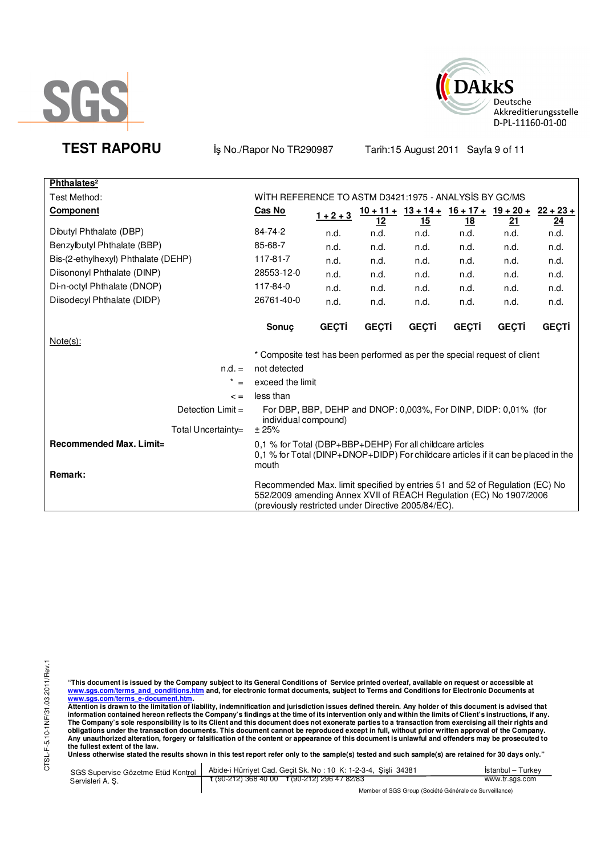



**TEST RAPORU** iş No./Rapor No TR290987 Tarih:15 August 2011 Sayfa 9 of 11

| Phthalates <sup>2</sup>                                                                                                                                                                                  |                                                                                                                                                          |              |              |                                                     |              |              |       |
|----------------------------------------------------------------------------------------------------------------------------------------------------------------------------------------------------------|----------------------------------------------------------------------------------------------------------------------------------------------------------|--------------|--------------|-----------------------------------------------------|--------------|--------------|-------|
| Test Method:                                                                                                                                                                                             | WITH REFERENCE TO ASTM D3421:1975 - ANALYSIS BY GC/MS                                                                                                    |              |              |                                                     |              |              |       |
| <b>Component</b>                                                                                                                                                                                         | Cas No                                                                                                                                                   | $1 + 2 + 3$  |              | $10 + 11 + 13 + 14 + 16 + 17 + 19 + 20 + 22 + 23 +$ |              |              |       |
|                                                                                                                                                                                                          |                                                                                                                                                          |              | <u> 12</u>   | 15                                                  | <u>18</u>    | 21           | 24    |
| Dibutyl Phthalate (DBP)                                                                                                                                                                                  | 84-74-2                                                                                                                                                  | n.d.         | n.d.         | n.d.                                                | n.d.         | n.d.         | n.d.  |
| Benzylbutyl Phthalate (BBP)                                                                                                                                                                              | 85-68-7                                                                                                                                                  | n.d.         | n.d.         | n.d.                                                | n.d.         | n.d.         | n.d.  |
| Bis-(2-ethylhexyl) Phthalate (DEHP)                                                                                                                                                                      | 117-81-7                                                                                                                                                 | n.d.         | n.d.         | n.d.                                                | n.d.         | n.d.         | n.d.  |
| Diisononyl Phthalate (DINP)                                                                                                                                                                              | 28553-12-0                                                                                                                                               | n.d.         | n.d.         | n.d.                                                | n.d.         | n.d.         | n.d.  |
| Di-n-octyl Phthalate (DNOP)                                                                                                                                                                              | 117-84-0                                                                                                                                                 | n.d.         | n.d.         | n.d.                                                | n.d.         | n.d.         | n.d.  |
| Diisodecyl Phthalate (DIDP)                                                                                                                                                                              | 26761-40-0                                                                                                                                               | n.d.         | n.d.         | n.d.                                                | n.d.         | n.d.         | n.d.  |
|                                                                                                                                                                                                          | <b>Sonuc</b>                                                                                                                                             | <b>GEÇTİ</b> | <b>GEÇTİ</b> | <b>GEÇTİ</b>                                        | <b>GEÇTİ</b> | <b>GECTI</b> | GEÇTİ |
| Note(s):                                                                                                                                                                                                 |                                                                                                                                                          |              |              |                                                     |              |              |       |
|                                                                                                                                                                                                          | * Composite test has been performed as per the special request of client                                                                                 |              |              |                                                     |              |              |       |
| $n.d. =$                                                                                                                                                                                                 | not detected                                                                                                                                             |              |              |                                                     |              |              |       |
| $^{\star}$<br>$=$                                                                                                                                                                                        | exceed the limit                                                                                                                                         |              |              |                                                     |              |              |       |
| $\leq$ $=$                                                                                                                                                                                               | less than                                                                                                                                                |              |              |                                                     |              |              |       |
| Detection $Limit =$                                                                                                                                                                                      | For DBP, BBP, DEHP and DNOP: 0.003%, For DINP, DIDP: 0.01% (for<br>individual compound)                                                                  |              |              |                                                     |              |              |       |
| Total Uncertainty=                                                                                                                                                                                       | ±25%                                                                                                                                                     |              |              |                                                     |              |              |       |
| Recommended Max. Limit=<br>Remark:                                                                                                                                                                       | 0.1 % for Total (DBP+BBP+DEHP) For all childcare articles<br>0.1 % for Total (DINP+DNOP+DIDP) For childcare articles if it can be placed in the<br>mouth |              |              |                                                     |              |              |       |
| Recommended Max. limit specified by entries 51 and 52 of Regulation (EC) No<br>552/2009 amending Annex XVII of REACH Regulation (EC) No 1907/2006<br>(previously restricted under Directive 2005/84/EC). |                                                                                                                                                          |              |              |                                                     |              |              |       |

"This document is issued by the Company subject to its General Conditions of Service printed overleaf, available on request or accessible at<br>www.sgs.com/terms\_and\_conditions.htm\_and, for electronic format documents, subjec

<u>www.sgs.com/terms\_e-document.htm.</u><br>Attention is drawn to the limitation of liability, indemnification and jurisdiction issues defined therein. Any holder of this document is advised that<br>information contained hereon refle obligations under the transaction documents. This document cannot be reproduced except in full, without prior written approval of the Company.<br>Any unauthorized alteration, forgery or falsification of the content or appeara

**Unless otherwise stated the results shown in this test report refer only to the sample(s) tested and such sample(s) are retained for 30 days only."** 

|                  | SGS Supervise Gözetme Etüd Kontrol   Abide-i Hürriyet Cad. Geçit Sk. No: 10 K: 1-2-3-4, Şişli 34381 | Istanbul – Turkev |  |
|------------------|-----------------------------------------------------------------------------------------------------|-------------------|--|
| Servisleri A. S. | $\frac{1}{2}$ (90-212) 368 40 00 f (90-212) 296 47 82/83                                            | www.tr.sgs.com    |  |
|                  |                                                                                                     |                   |  |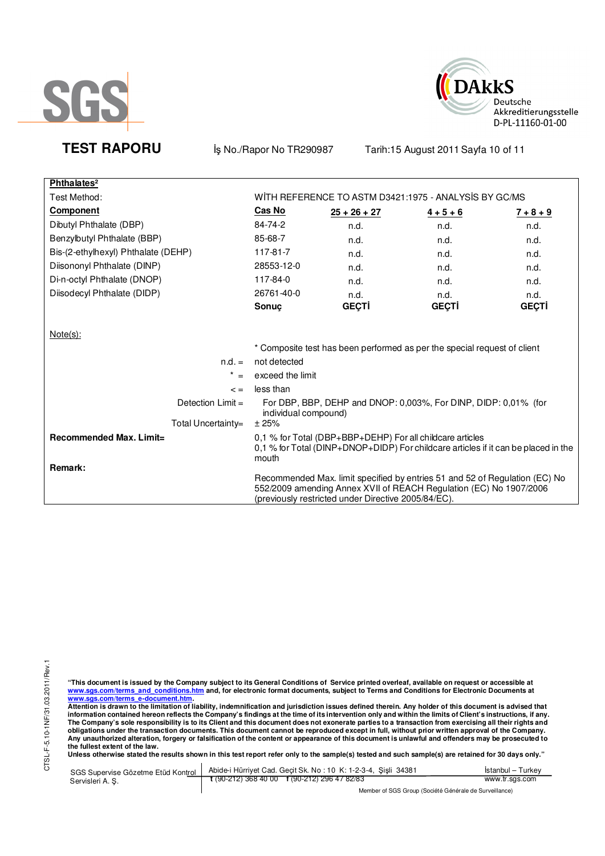



**TEST RAPORU** iş No./Rapor No TR290987 Tarih:15 August 2011 Sayfa 10 of 11

| Phthalates <sup>2</sup>             |                                                                                                                                                                                                          |                |                                                                          |              |  |
|-------------------------------------|----------------------------------------------------------------------------------------------------------------------------------------------------------------------------------------------------------|----------------|--------------------------------------------------------------------------|--------------|--|
| Test Method:                        | WITH REFERENCE TO ASTM D3421:1975 - ANALYSIS BY GC/MS                                                                                                                                                    |                |                                                                          |              |  |
| <b>Component</b>                    | Cas No                                                                                                                                                                                                   | $25 + 26 + 27$ | $4 + 5 + 6$                                                              | $7 + 8 + 9$  |  |
| Dibutyl Phthalate (DBP)             | 84-74-2                                                                                                                                                                                                  | n.d.           | n.d.                                                                     | n.d.         |  |
| Benzylbutyl Phthalate (BBP)         | 85-68-7                                                                                                                                                                                                  | n.d.           | n.d.                                                                     | n.d.         |  |
| Bis-(2-ethylhexyl) Phthalate (DEHP) | 117-81-7                                                                                                                                                                                                 | n.d.           | n.d.                                                                     | n.d.         |  |
| Diisononyl Phthalate (DINP)         | 28553-12-0                                                                                                                                                                                               | n.d.           | n.d.                                                                     | n.d.         |  |
| Di-n-octyl Phthalate (DNOP)         | 117-84-0                                                                                                                                                                                                 | n.d.           | n.d.                                                                     | n.d.         |  |
| Diisodecyl Phthalate (DIDP)         | 26761-40-0                                                                                                                                                                                               | n.d.           | n.d.                                                                     | n.d.         |  |
|                                     | Sonuc                                                                                                                                                                                                    | <b>GEÇTİ</b>   | <b>GEÇTİ</b>                                                             | <b>GEÇTİ</b> |  |
|                                     |                                                                                                                                                                                                          |                |                                                                          |              |  |
| Note(s):                            |                                                                                                                                                                                                          |                |                                                                          |              |  |
|                                     |                                                                                                                                                                                                          |                | * Composite test has been performed as per the special request of client |              |  |
| $n.d. =$                            | not detected                                                                                                                                                                                             |                |                                                                          |              |  |
| $\star$<br>$=$                      | exceed the limit                                                                                                                                                                                         |                |                                                                          |              |  |
| $\leq$ $=$                          | less than                                                                                                                                                                                                |                |                                                                          |              |  |
| Detection $Limit =$                 | For DBP, BBP, DEHP and DNOP: 0,003%, For DINP, DIDP: 0,01% (for<br>individual compound)                                                                                                                  |                |                                                                          |              |  |
| Total Uncertainty=                  | ± 25%                                                                                                                                                                                                    |                |                                                                          |              |  |
| Recommended Max. Limit=             | 0.1 % for Total (DBP+BBP+DEHP) For all childcare articles<br>0,1 % for Total (DINP+DNOP+DIDP) For childcare articles if it can be placed in the<br>mouth                                                 |                |                                                                          |              |  |
| Remark:                             | Recommended Max. limit specified by entries 51 and 52 of Regulation (EC) No<br>552/2009 amending Annex XVII of REACH Regulation (EC) No 1907/2006<br>(previously restricted under Directive 2005/84/EC). |                |                                                                          |              |  |

CTSL-F-5.10-1NF/31.03.2011/Rev.1 CTSL-F-5.10-1NF/31.03.2011/Rev.1

"This document is issued by the Company subject to its General Conditions of Service printed overleaf, available on request or accessible at<br>www.sgs.com/terms\_and\_conditions.htm\_and, for electronic format documents, subjec

<u>www.sgs.com/terms\_e-document.htm.</u><br>Attention is drawn to the limitation of liability, indemnification and jurisdiction issues defined therein. Any holder of this document is advised that<br>information contained hereon refle obligations under the transaction documents. This document cannot be reproduced except in full, without prior written approval of the Company.<br>Any unauthorized alteration, forgery or falsification of the content or appeara

**Unless otherwise stated the results shown in this test report refer only to the sample(s) tested and such sample(s) are retained for 30 days only."** 

| SGS Supervise Gözetme Etüd Kontrol | Abide-i Hürriyet Cad. Gecit Sk. No: 10 K: 1-2-3-4, Sisli 34381 | Istanbul – Turkev |  |
|------------------------------------|----------------------------------------------------------------|-------------------|--|
| Servisleri A. S.                   | $\frac{1}{2}$ (90-212) 368 40 00 f (90-212) 296 47 82/83       | www.tr.sgs.com    |  |
|                                    | Member of SGS Group (Société Générale de Surveillance)         |                   |  |